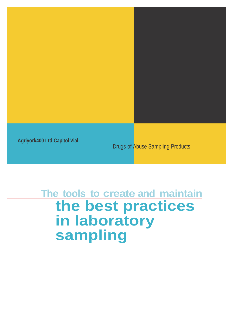

# **The tools to create and maintain the best practices in laboratory sampling**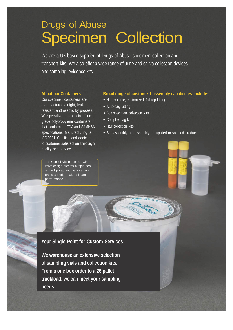# Drugs of Abuse **Specimen Collection**

We are a UK based supplier of Drugs of Abuse specimen collection and transport kits. We also offer a wide range of urine and saliva collection devices and sampling evidence kits.

#### **About our Containers**

Our specimen containers are manufactured airtight, leak resistant and aseptic by process. We specialize in producing food grade polypropylene containers that conform to FDA and SAMHSA specifications. Manufacturing is ISO 9001 Certified and dedicated to customer satisfaction through quality and service.

The Capitol Vial patented twin valve design creates a triple seal at the flip cap and vial interface giving superior leak resistant performance.

#### **Broad range of custom kit assembly capabilities include:**

- High volume, customized, foil top kitting
- Auto-bag kitting
- Box specimen collection kits
- Complex bag kits
- Hair collection kits
- Sub-assembly and assembly of supplied or sourced products

**Your Single Point for Custom Services**

**We warehouse an extensive selection of sampling vials and collection kits. From a one box order to a 26 pallet truckload, we can meet your sampling needs.**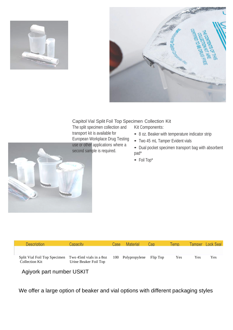



#### Capitol Vial Split Foil Top Specimen Collection Kit

The split specimen collection and transport kit is available for European Workplace Drug Testing use or other applications where a second sample is required.

Kit Components:

- <sup>8</sup> oz. Beaker with temperature indicator strip
- Two <sup>45</sup> mL Tamper Evident vials
- Dual pocket specimen transport bag with absorbent pad\*
- Foil Top\*



| Description                                                            | Canacity.             | Case: | Material                   | Can | Temp. |     | Tamper Lock Seal |
|------------------------------------------------------------------------|-----------------------|-------|----------------------------|-----|-------|-----|------------------|
| Split Vial Foil Top Specimen Two 45ml vials in a 8oz<br>Collection Kit | Urine Beaker Foil Top |       | 100 Polypropylene Flip Top |     | Yes   | Yes | Yes              |

### Agiyork part number USKIT

We offer a large option of beaker and vial options with different packaging styles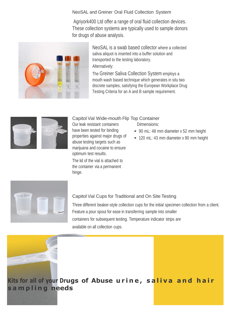NeoSAL and Greiner Oral Fluid Collection System

Agriyork400 Ltd offer a range of oral fluid collection devices. These collection systems are typically used to sample donors for drugs of abuse analysis.



NeoSAL is a swab based collector where a collected saliva aliquot is inserted into a buffer solution and transported to the testing laboratory. Alternatively:

The Greiner Saliva Collection System employs a mouth wash based technique which generates in situ two discrete samples, satisfying the European Workplace Drug Testing Criteria for an A and B sample requirement.



Capitol Vial Wide-mouth Flip Top Container

Our leak resistant containers have been tested for binding properties against major drugs of abuse testing targets such as marijuana and cocaine to ensure optimum test results.

The lid of the vial is attached to the container via a permanent hinge.

Dimensions:

- 90 mL: 48 mm diameter x 52 mm height
- 120 mL: 43 mm diameter x 90 mm height



#### Capitol Vial Cups for Traditional and On Site Testing

Three different beaker-style collection cups for the initial specimen collection from a client. Feature a pour spout for ease in transferring sample into smaller containers for subsequent testing. Temperature indicator strips are available on all collection cups.



## **Kits for all of your Drugs of Abuse urine, saliva and hair sampling needs**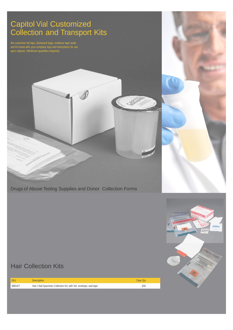## Capitol Vial Customized Collection and Transport Kits

We customize foil tops, biohazard bags, evidence tape seals and kit boxes with your company logo and instructions for use upon request. (Minimum quantities required)

Drugs of Abuse Testing Supplies and Donor Collection Forms

## Hair Collection Kits

| <b>SKU</b> | <b>Description</b>                                                  | Case Qtv |
|------------|---------------------------------------------------------------------|----------|
| 98047      | Hair / Nail Specimen Collection Kit, with foil, envelope, seal tape | 100      |



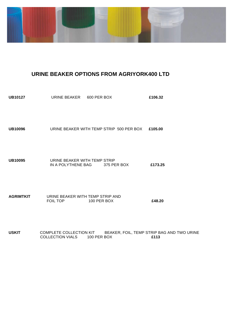

### **URINE BEAKER OPTIONS FROM AGRIYORK400 LTD**

| <b>UB10127</b> | URINE BEAKER 600 PER BOX                                                                           | £106.32 |
|----------------|----------------------------------------------------------------------------------------------------|---------|
| <b>UB10096</b> | URINE BEAKER WITH TEMP STRIP 500 PER BOX £105.00                                                   |         |
| <b>UB10095</b> | URINE BEAKER WITH TEMP STRIP<br>IN A POLYTHENE BAG 375 PER BOX                                     | £173.25 |
| AGRIMTKIT      | URINE BEAKER WITH TEMP STRIP AND<br>FOIL TOP <b>EXAMPLE TO PERFORM</b><br>100 PER BOX              | £48.20  |
| USKIT          | COMPLETE COLLECTION KIT BEAKER, FOIL, TEMP STRIP BAG AND TWO URINE<br>COLLECTION VIALS 100 PER BOX | £113    |